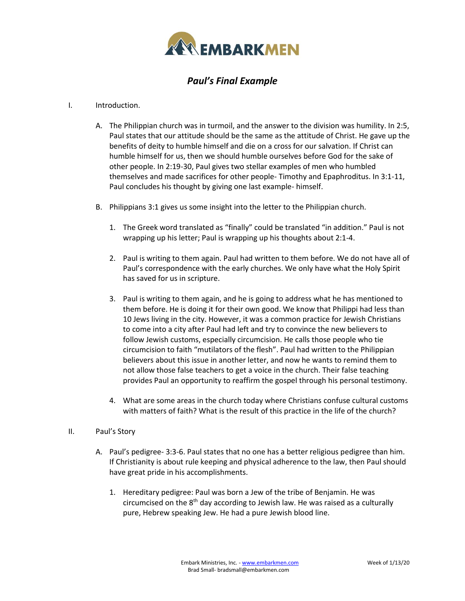

## *Paul's Final Example*

## I. Introduction.

- A. The Philippian church was in turmoil, and the answer to the division was humility. In 2:5, Paul states that our attitude should be the same as the attitude of Christ. He gave up the benefits of deity to humble himself and die on a cross for our salvation. If Christ can humble himself for us, then we should humble ourselves before God for the sake of other people. In 2:19-30, Paul gives two stellar examples of men who humbled themselves and made sacrifices for other people- Timothy and Epaphroditus. In 3:1-11, Paul concludes his thought by giving one last example- himself.
- B. Philippians 3:1 gives us some insight into the letter to the Philippian church.
	- 1. The Greek word translated as "finally" could be translated "in addition." Paul is not wrapping up his letter; Paul is wrapping up his thoughts about 2:1-4.
	- 2. Paul is writing to them again. Paul had written to them before. We do not have all of Paul's correspondence with the early churches. We only have what the Holy Spirit has saved for us in scripture.
	- 3. Paul is writing to them again, and he is going to address what he has mentioned to them before. He is doing it for their own good. We know that Philippi had less than 10 Jews living in the city. However, it was a common practice for Jewish Christians to come into a city after Paul had left and try to convince the new believers to follow Jewish customs, especially circumcision. He calls those people who tie circumcision to faith "mutilators of the flesh". Paul had written to the Philippian believers about this issue in another letter, and now he wants to remind them to not allow those false teachers to get a voice in the church. Their false teaching provides Paul an opportunity to reaffirm the gospel through his personal testimony.
	- 4. What are some areas in the church today where Christians confuse cultural customs with matters of faith? What is the result of this practice in the life of the church?

## II. Paul's Story

- A. Paul's pedigree- 3:3-6. Paul states that no one has a better religious pedigree than him. If Christianity is about rule keeping and physical adherence to the law, then Paul should have great pride in his accomplishments.
	- 1. Hereditary pedigree: Paul was born a Jew of the tribe of Benjamin. He was circumcised on the  $8<sup>th</sup>$  day according to Jewish law. He was raised as a culturally pure, Hebrew speaking Jew. He had a pure Jewish blood line.